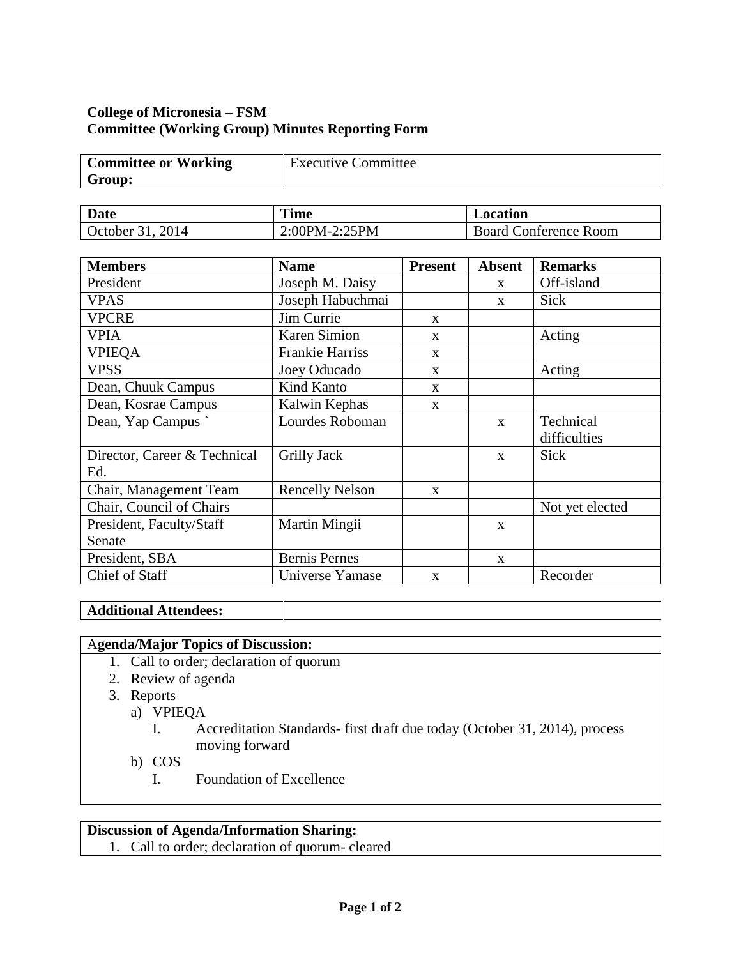# **College of Micronesia – FSM Committee (Working Group) Minutes Reporting Form**

| <b>Committee or Working</b> | <b>Executive Committee</b> |
|-----------------------------|----------------------------|
| Group:                      |                            |

| <b>Date</b>      | <b>Time</b>   | <b>Location</b>              |  |
|------------------|---------------|------------------------------|--|
| October 31, 2014 | 2:00PM-2:25PM | <b>Board Conference Room</b> |  |

| <b>Members</b>               | <b>Name</b>            | <b>Present</b> | <b>Absent</b> | <b>Remarks</b>  |
|------------------------------|------------------------|----------------|---------------|-----------------|
| President                    | Joseph M. Daisy        |                | $\mathbf{x}$  | Off-island      |
| <b>VPAS</b>                  | Joseph Habuchmai       |                | X             | Sick            |
| <b>VPCRE</b>                 | Jim Currie             | $\mathbf{x}$   |               |                 |
| <b>VPIA</b>                  | <b>Karen Simion</b>    | $\mathbf{X}$   |               | Acting          |
| <b>VPIEQA</b>                | <b>Frankie Harriss</b> | X              |               |                 |
| <b>VPSS</b>                  | Joey Oducado           | $\mathbf{X}$   |               | Acting          |
| Dean, Chuuk Campus           | Kind Kanto             | $\mathbf{X}$   |               |                 |
| Dean, Kosrae Campus          | Kalwin Kephas          | $\mathbf{X}$   |               |                 |
| Dean, Yap Campus             | Lourdes Roboman        |                | $\mathbf{X}$  | Technical       |
|                              |                        |                |               | difficulties    |
| Director, Career & Technical | <b>Grilly Jack</b>     |                | $\mathbf{x}$  | Sick            |
| Ed.                          |                        |                |               |                 |
| Chair, Management Team       | <b>Rencelly Nelson</b> | $\mathbf{X}$   |               |                 |
| Chair, Council of Chairs     |                        |                |               | Not yet elected |
| President, Faculty/Staff     | Martin Mingii          |                | X             |                 |
| Senate                       |                        |                |               |                 |
| President, SBA               | <b>Bernis Pernes</b>   |                | $\mathbf{x}$  |                 |
| Chief of Staff               | Universe Yamase        | $\mathbf{x}$   |               | Recorder        |

### **Additional Attendees:**

### A**genda/Major Topics of Discussion:**

- 1. Call to order; declaration of quorum
- 2. Review of agenda
- 3. Reports
	- a) VPIEQA
		- I. Accreditation Standards- first draft due today (October 31, 2014), process moving forward
	- b) COS
		- I. Foundation of Excellence

### **Discussion of Agenda/Information Sharing:**

1. Call to order; declaration of quorum- cleared